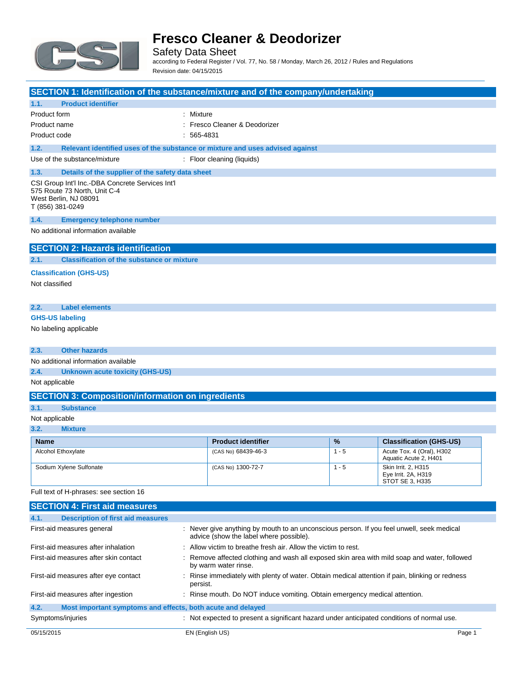

Safety Data Sheet according to Federal Register / Vol. 77, No. 58 / Monday, March 26, 2012 / Rules and Regulations Revision date: 04/15/2015

### **SECTION 1: Identification of the substance/mixture and of the company/undertaking 1.1. Product identifier** Product form : Mixture Product name  $\qquad \qquad :$  Fresco Cleaner & Deodorizer Product code : 565-4831 **1.2. Relevant identified uses of the substance or mixture and uses advised against** Use of the substance/mixture : Floor cleaning (liquids) **1.3. Details of the supplier of the safety data sheet** CSI Group Int'l Inc.-DBA Concrete Services Int'l 575 Route 73 North, Unit C-4 West Berlin, NJ 08091 T (856) 381-0249 **1.4. Emergency telephone number** No additional information available **SECTION 2: Hazards identification 2.1. Classification of the substance or mixture Classification (GHS-US)** Not classified **2.2. Label elements GHS-US labeling** No labeling applicable **2.3. Other hazards** No additional information available **2.4. Unknown acute toxicity (GHS-US)**

Not applicable

#### **SECTION 3: Composition/information on ingredients**

#### **3.1. Substance**

#### Not applicable

**3.2. Mixture**

| <b>Name</b>             | <b>Product identifier</b> | $\frac{9}{6}$ | <b>Classification (GHS-US)</b>                                |
|-------------------------|---------------------------|---------------|---------------------------------------------------------------|
| Alcohol Ethoxylate      | (CAS No) 68439-46-3       | $1 - 5$       | Acute Tox. 4 (Oral), H302<br>Aquatic Acute 2, H401            |
| Sodium Xylene Sulfonate | (CAS No) 1300-72-7        | $1 - 5$       | Skin Irrit. 2. H315<br>Eye Irrit. 2A, H319<br>STOT SE 3, H335 |

Full text of H-phrases: see section 16

| <b>SECTION 4: First aid measures</b>                                |                                                                                                                                                                                        |        |
|---------------------------------------------------------------------|----------------------------------------------------------------------------------------------------------------------------------------------------------------------------------------|--------|
| 4.1.<br><b>Description of first aid measures</b>                    |                                                                                                                                                                                        |        |
| First-aid measures general                                          | : Never give anything by mouth to an unconscious person. If you feel unwell, seek medical<br>advice (show the label where possible).                                                   |        |
| First-aid measures after inhalation                                 | : Allow victim to breathe fresh air. Allow the victim to rest.<br>: Remove affected clothing and wash all exposed skin area with mild soap and water, followed<br>by warm water rinse. |        |
| First-aid measures after skin contact                               |                                                                                                                                                                                        |        |
| First-aid measures after eye contact                                | : Rinse immediately with plenty of water. Obtain medical attention if pain, blinking or redness<br>persist.                                                                            |        |
| First-aid measures after ingestion                                  | : Rinse mouth. Do NOT induce vomiting. Obtain emergency medical attention.                                                                                                             |        |
| 4.2.<br>Most important symptoms and effects, both acute and delayed |                                                                                                                                                                                        |        |
| Symptoms/injuries                                                   | : Not expected to present a significant hazard under anticipated conditions of normal use.                                                                                             |        |
| 05/15/2015                                                          | EN (English US)                                                                                                                                                                        | Page 1 |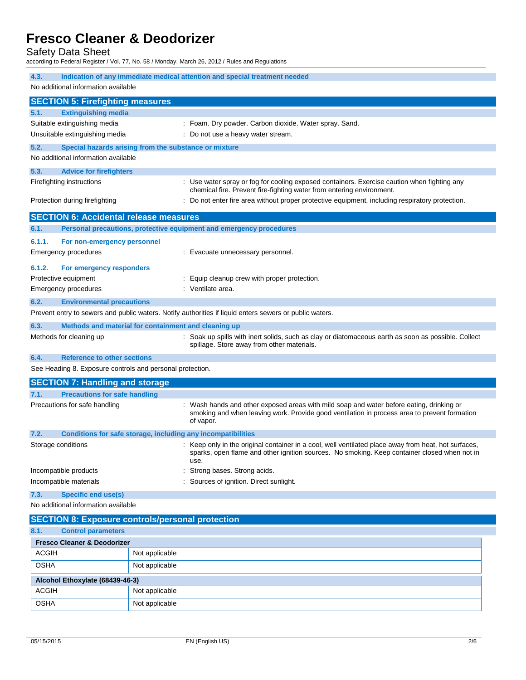Safety Data Sheet

according to Federal Register / Vol. 77, No. 58 / Monday, March 26, 2012 / Rules and Regulations

| Indication of any immediate medical attention and special treatment needed<br>4.3. |                                               |                                                                                                                                                                                                              |  |
|------------------------------------------------------------------------------------|-----------------------------------------------|--------------------------------------------------------------------------------------------------------------------------------------------------------------------------------------------------------------|--|
| No additional information available                                                |                                               |                                                                                                                                                                                                              |  |
|                                                                                    | <b>SECTION 5: Firefighting measures</b>       |                                                                                                                                                                                                              |  |
| 5.1.                                                                               | <b>Extinguishing media</b>                    |                                                                                                                                                                                                              |  |
|                                                                                    | Suitable extinguishing media                  | : Foam. Dry powder. Carbon dioxide. Water spray. Sand.                                                                                                                                                       |  |
|                                                                                    | Unsuitable extinguishing media                | : Do not use a heavy water stream.                                                                                                                                                                           |  |
| 5.2.                                                                               |                                               | Special hazards arising from the substance or mixture                                                                                                                                                        |  |
|                                                                                    | No additional information available           |                                                                                                                                                                                                              |  |
| 5.3.                                                                               | <b>Advice for firefighters</b>                |                                                                                                                                                                                                              |  |
|                                                                                    | Firefighting instructions                     | : Use water spray or fog for cooling exposed containers. Exercise caution when fighting any                                                                                                                  |  |
|                                                                                    |                                               | chemical fire. Prevent fire-fighting water from entering environment.                                                                                                                                        |  |
|                                                                                    | Protection during firefighting                | : Do not enter fire area without proper protective equipment, including respiratory protection.                                                                                                              |  |
|                                                                                    | <b>SECTION 6: Accidental release measures</b> |                                                                                                                                                                                                              |  |
| 6.1.                                                                               |                                               | Personal precautions, protective equipment and emergency procedures                                                                                                                                          |  |
| 6.1.1.                                                                             | For non-emergency personnel                   |                                                                                                                                                                                                              |  |
|                                                                                    | Emergency procedures                          | : Evacuate unnecessary personnel.                                                                                                                                                                            |  |
| 6.1.2.                                                                             | For emergency responders                      |                                                                                                                                                                                                              |  |
|                                                                                    | Protective equipment                          | : Equip cleanup crew with proper protection.                                                                                                                                                                 |  |
|                                                                                    | <b>Emergency procedures</b>                   | : Ventilate area.                                                                                                                                                                                            |  |
| 6.2.                                                                               | <b>Environmental precautions</b>              |                                                                                                                                                                                                              |  |
|                                                                                    |                                               | Prevent entry to sewers and public waters. Notify authorities if liquid enters sewers or public waters.                                                                                                      |  |
| 6.3.                                                                               |                                               | Methods and material for containment and cleaning up                                                                                                                                                         |  |
|                                                                                    | Methods for cleaning up                       | : Soak up spills with inert solids, such as clay or diatomaceous earth as soon as possible. Collect<br>spillage. Store away from other materials.                                                            |  |
| 6.4.                                                                               | <b>Reference to other sections</b>            |                                                                                                                                                                                                              |  |
|                                                                                    |                                               | See Heading 8. Exposure controls and personal protection.                                                                                                                                                    |  |
|                                                                                    | <b>SECTION 7: Handling and storage</b>        |                                                                                                                                                                                                              |  |
| 7.1.                                                                               | <b>Precautions for safe handling</b>          |                                                                                                                                                                                                              |  |
|                                                                                    | Precautions for safe handling                 | : Wash hands and other exposed areas with mild soap and water before eating, drinking or<br>smoking and when leaving work. Provide good ventilation in process area to prevent formation<br>of vapor.        |  |
| 7.2.                                                                               |                                               | Conditions for safe storage, including any incompatibilities                                                                                                                                                 |  |
| Storage conditions                                                                 |                                               | : Keep only in the original container in a cool, well ventilated place away from heat, hot surfaces,<br>sparks, open flame and other ignition sources. No smoking. Keep container closed when not in<br>use. |  |
| Incompatible products                                                              |                                               | Strong bases. Strong acids.                                                                                                                                                                                  |  |
| Incompatible materials                                                             |                                               | Sources of ignition. Direct sunlight.                                                                                                                                                                        |  |
| 7.3.<br><b>Specific end use(s)</b>                                                 |                                               |                                                                                                                                                                                                              |  |
| No additional information available                                                |                                               |                                                                                                                                                                                                              |  |
| <b>SECTION 8: Exposure controls/personal protection</b>                            |                                               |                                                                                                                                                                                                              |  |
| <b>Control parameters</b><br>8.1.                                                  |                                               |                                                                                                                                                                                                              |  |
| <b>Fresco Cleaner &amp; Deodorizer</b>                                             |                                               |                                                                                                                                                                                                              |  |
| <b>ACGIH</b>                                                                       |                                               | Not applicable                                                                                                                                                                                               |  |
| <b>OSHA</b>                                                                        |                                               | Not applicable                                                                                                                                                                                               |  |
|                                                                                    | Alcohol Ethoxylate (68439-46-3)               |                                                                                                                                                                                                              |  |
| <b>ACGIH</b>                                                                       |                                               | Not applicable                                                                                                                                                                                               |  |

OSHA Not applicable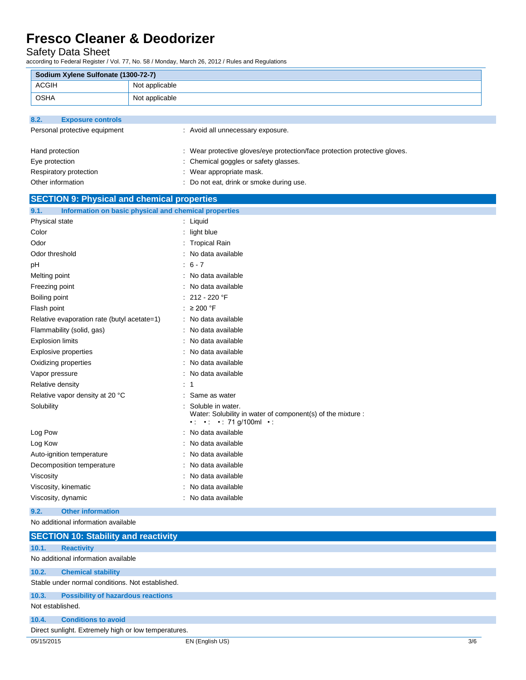Safety Data Sheet

j.

according to Federal Register / Vol. 77, No. 58 / Monday, March 26, 2012 / Rules and Regulations

| Sodium Xylene Sulfonate (1300-72-7)                  |                                                                                                                                        |
|------------------------------------------------------|----------------------------------------------------------------------------------------------------------------------------------------|
| <b>ACGIH</b>                                         | Not applicable                                                                                                                         |
| <b>OSHA</b>                                          | Not applicable                                                                                                                         |
|                                                      |                                                                                                                                        |
| 8.2.<br><b>Exposure controls</b>                     |                                                                                                                                        |
| Personal protective equipment                        | : Avoid all unnecessary exposure.                                                                                                      |
|                                                      |                                                                                                                                        |
| Hand protection                                      | : Wear protective gloves/eye protection/face protection protective gloves.                                                             |
| Eye protection                                       | : Chemical goggles or safety glasses.                                                                                                  |
| Respiratory protection                               | : Wear appropriate mask.                                                                                                               |
| Other information                                    | : Do not eat, drink or smoke during use.                                                                                               |
| <b>SECTION 9: Physical and chemical properties</b>   |                                                                                                                                        |
| 9.1.                                                 | Information on basic physical and chemical properties                                                                                  |
| Physical state                                       | : Liquid                                                                                                                               |
| Color                                                | : light blue                                                                                                                           |
| Odor                                                 | : Tropical Rain                                                                                                                        |
| Odor threshold                                       | : No data available                                                                                                                    |
| рH                                                   | $: 6 - 7$                                                                                                                              |
| Melting point                                        | : No data available                                                                                                                    |
| Freezing point                                       | No data available                                                                                                                      |
| Boiling point                                        | : $212 - 220$ °F                                                                                                                       |
| Flash point                                          | : ≥ 200 °F                                                                                                                             |
| Relative evaporation rate (butyl acetate=1)          | : No data available                                                                                                                    |
| Flammability (solid, gas)                            | : No data available                                                                                                                    |
| <b>Explosion limits</b>                              | No data available                                                                                                                      |
| <b>Explosive properties</b>                          | No data available                                                                                                                      |
| Oxidizing properties                                 | No data available                                                                                                                      |
| Vapor pressure                                       | No data available                                                                                                                      |
| Relative density                                     | -1                                                                                                                                     |
| Relative vapor density at 20 °C                      | Same as water                                                                                                                          |
| Solubility                                           | Soluble in water.<br>Water: Solubility in water of component(s) of the mixture :<br>$\cdot$ : $\cdot$ : $\cdot$ : 71 g/100ml $\cdot$ : |
| Log Pow                                              | No data available                                                                                                                      |
| Log Kow                                              | No data available                                                                                                                      |
| Auto-ignition temperature                            | : No data available                                                                                                                    |
| Decomposition temperature                            | : No data available                                                                                                                    |
| Viscosity                                            | : No data available                                                                                                                    |
| Viscosity, kinematic                                 | No data available                                                                                                                      |
| Viscosity, dynamic                                   | No data available                                                                                                                      |
| <b>Other information</b><br>9.2.                     |                                                                                                                                        |
| No additional information available                  |                                                                                                                                        |
| <b>SECTION 10: Stability and reactivity</b>          |                                                                                                                                        |
| 10.1.<br><b>Reactivity</b>                           |                                                                                                                                        |
| No additional information available                  |                                                                                                                                        |
| 10.2.<br><b>Chemical stability</b>                   |                                                                                                                                        |
| Stable under normal conditions. Not established.     |                                                                                                                                        |
| 10.3.<br><b>Possibility of hazardous reactions</b>   |                                                                                                                                        |
| Not established.                                     |                                                                                                                                        |
| <b>Conditions to avoid</b><br>10.4.                  |                                                                                                                                        |
| Direct sunlight. Extremely high or low temperatures. |                                                                                                                                        |
| 05/15/2015                                           | EN (English US)<br>3/6                                                                                                                 |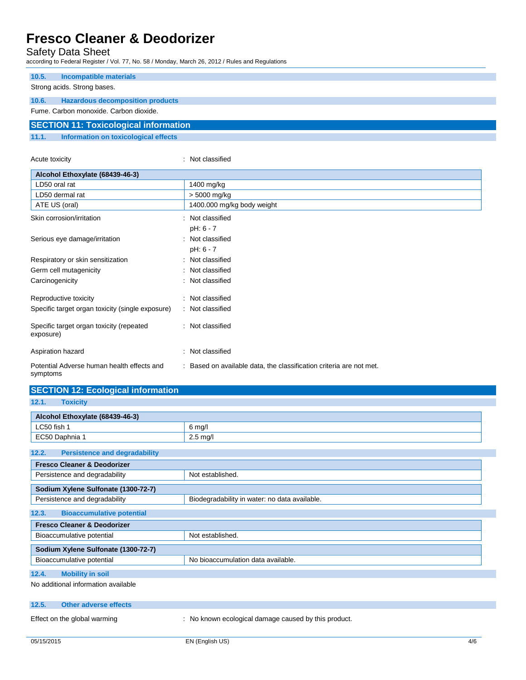Safety Data Sheet

according to Federal Register / Vol. 77, No. 58 / Monday, March 26, 2012 / Rules and Regulations

| 10.5.                                        | Incompatible materials                  |  |
|----------------------------------------------|-----------------------------------------|--|
|                                              |                                         |  |
| Strong acids. Strong bases.                  |                                         |  |
| 10.6.                                        | <b>Hazardous decomposition products</b> |  |
| Fume, Carbon monoxide, Carbon dioxide.       |                                         |  |
| <b>SECTION 11: Toxicological information</b> |                                         |  |
| 11.1.                                        | Information on toxicological effects    |  |

| Acute toxicity                                         | : Not classified                                                    |
|--------------------------------------------------------|---------------------------------------------------------------------|
| Alcohol Ethoxylate (68439-46-3)                        |                                                                     |
| LD50 oral rat                                          | 1400 mg/kg                                                          |
| LD50 dermal rat                                        | > 5000 mg/kg                                                        |
| ATE US (oral)                                          | 1400.000 mg/kg body weight                                          |
| Skin corrosion/irritation                              | : Not classified                                                    |
|                                                        | pH: 6 - 7                                                           |
| Serious eye damage/irritation                          | : Not classified                                                    |
|                                                        | pH: 6 - 7                                                           |
| Respiratory or skin sensitization                      | : Not classified                                                    |
| Germ cell mutagenicity                                 | : Not classified                                                    |
| Carcinogenicity                                        | : Not classified                                                    |
| Reproductive toxicity                                  | : Not classified                                                    |
| Specific target organ toxicity (single exposure)       | : Not classified                                                    |
| Specific target organ toxicity (repeated<br>exposure)  | : Not classified                                                    |
| Aspiration hazard                                      | : Not classified                                                    |
| Potential Adverse human health effects and<br>symptoms | : Based on available data, the classification criteria are not met. |

| <b>SECTION 12: Ecological information</b>                       |                                               |  |
|-----------------------------------------------------------------|-----------------------------------------------|--|
| 12.1.<br><b>Toxicity</b>                                        |                                               |  |
|                                                                 |                                               |  |
| Alcohol Ethoxylate (68439-46-3)                                 |                                               |  |
| LC50 fish 1                                                     | 6 mg/l                                        |  |
| EC50 Daphnia 1                                                  | $2.5 \text{ mg/l}$                            |  |
| 12.2.<br><b>Persistence and degradability</b>                   |                                               |  |
| <b>Fresco Cleaner &amp; Deodorizer</b>                          |                                               |  |
| Persistence and degradability                                   | Not established.                              |  |
| Sodium Xylene Sulfonate (1300-72-7)                             |                                               |  |
| Persistence and degradability                                   | Biodegradability in water: no data available. |  |
| <b>Bioaccumulative potential</b><br>12.3.                       |                                               |  |
| <b>Fresco Cleaner &amp; Deodorizer</b>                          |                                               |  |
| Bioaccumulative potential                                       | Not established.                              |  |
| Sodium Xylene Sulfonate (1300-72-7)                             |                                               |  |
| Bioaccumulative potential<br>No bioaccumulation data available. |                                               |  |
| 12.4.<br><b>Mobility in soil</b>                                |                                               |  |
| No additional information available                             |                                               |  |

**12.5. Other adverse effects**

Effect on the global warming : No known ecological damage caused by this product.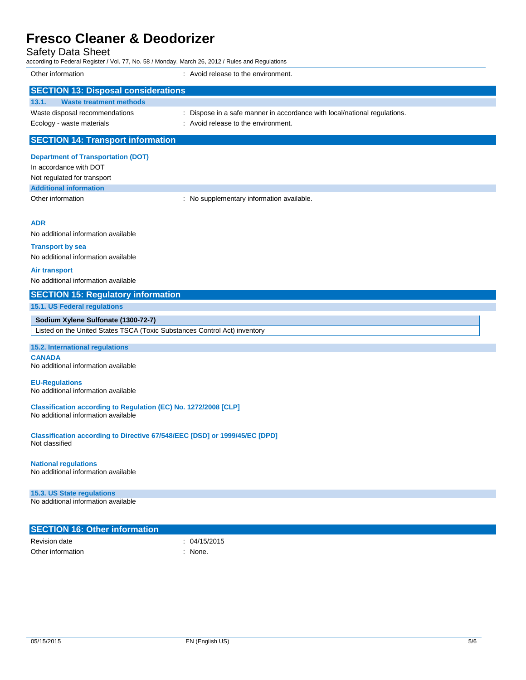| <b>Fresco Cleaner &amp; Deodorizer</b>                                                                                              |                                                                                                                  |  |  |
|-------------------------------------------------------------------------------------------------------------------------------------|------------------------------------------------------------------------------------------------------------------|--|--|
| <b>Safety Data Sheet</b><br>according to Federal Register / Vol. 77, No. 58 / Monday, March 26, 2012 / Rules and Regulations        |                                                                                                                  |  |  |
| Other information                                                                                                                   | : Avoid release to the environment.                                                                              |  |  |
| <b>SECTION 13: Disposal considerations</b>                                                                                          |                                                                                                                  |  |  |
| 13.1.<br><b>Waste treatment methods</b>                                                                                             |                                                                                                                  |  |  |
| Waste disposal recommendations<br>Ecology - waste materials                                                                         | : Dispose in a safe manner in accordance with local/national regulations.<br>: Avoid release to the environment. |  |  |
| <b>SECTION 14: Transport information</b>                                                                                            |                                                                                                                  |  |  |
| <b>Department of Transportation (DOT)</b><br>In accordance with DOT<br>Not regulated for transport<br><b>Additional information</b> |                                                                                                                  |  |  |
| Other information                                                                                                                   | : No supplementary information available.                                                                        |  |  |
| ADR                                                                                                                                 |                                                                                                                  |  |  |
| No additional information available                                                                                                 |                                                                                                                  |  |  |
| <b>Transport by sea</b>                                                                                                             |                                                                                                                  |  |  |
| No additional information available                                                                                                 |                                                                                                                  |  |  |
| <b>Air transport</b><br>No additional information available                                                                         |                                                                                                                  |  |  |
| <b>SECTION 15: Regulatory information</b>                                                                                           |                                                                                                                  |  |  |
| 15.1. US Federal regulations                                                                                                        |                                                                                                                  |  |  |
| Sodium Xylene Sulfonate (1300-72-7)                                                                                                 |                                                                                                                  |  |  |
| Listed on the United States TSCA (Toxic Substances Control Act) inventory                                                           |                                                                                                                  |  |  |
| 15.2. International regulations                                                                                                     |                                                                                                                  |  |  |
| <b>CANADA</b><br>No additional information available                                                                                |                                                                                                                  |  |  |
| <b>EU-Regulations</b><br>No additional information available                                                                        |                                                                                                                  |  |  |
| Classification according to Regulation (EC) No. 1272/2008 [CLP]<br>No additional information available                              |                                                                                                                  |  |  |
| Classification according to Directive 67/548/EEC [DSD] or 1999/45/EC [DPD]<br>Not classified                                        |                                                                                                                  |  |  |
| <b>National regulations</b><br>No additional information available                                                                  |                                                                                                                  |  |  |
| 15.3. US State regulations<br>No additional information available                                                                   |                                                                                                                  |  |  |

| <b>SECTION 16: Other information</b> |            |
|--------------------------------------|------------|
| Revision date                        | 04/15/2015 |
| Other information                    | None.      |